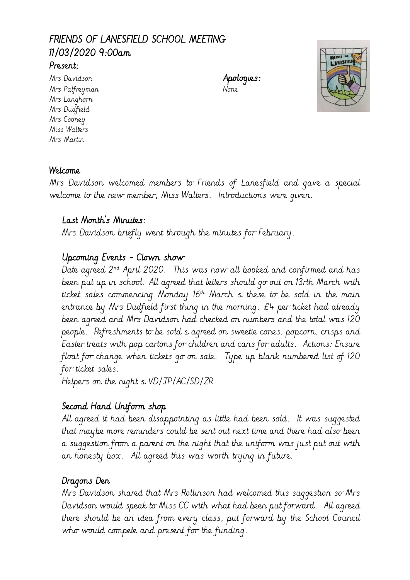# FRIENDS OF LANESFIELD SCHOOL MEETING 11/03/2020 9:00am

## Present;

Mrs Davidson **Apologies:** Mrs Palfreyman None Mrs Langhorn Mrs Dudfield Mrs Cooney Miss Walters Mrs Martin



#### Welcome

Mrs Davidson welcomed members to Friends of Lanesfield and gave a special welcome to the new member, Miss Walters. Introductions were given.

#### Last Month's Minutes:

Mrs Davidson briefly went through the minutes for February.

### Upcoming Events - Clown show

Date agreed  $2^{nd}$  April 2020. This was now all booked and confirmed and has been put up in school. All agreed that letters should go out on 13rth March with ticket sales commencing Monday  $16<sup>th</sup>$  March  $s$  these to be sold in the main entrance by Mrs Dudfield first thing in the morning. £4 per ticket had already been agreed and Mrs Davidson had checked on numbers and the total was 120 people. Refreshments to be sold s agreed on sweetie cones, popcorn, crisps and Easter treats with pop cartons for children and cans for adults. Actions: Ensure float for change when tickets go on sale. Type up blank numbered list of 120 for ticket sales.

Helpers on the night  $\frac{1}{2}$  VD/JP/AC/SD/ZR

#### Second Hand Uniform shop

All agreed it had been disappointing as little had been sold. It was suggested that maybe more reminders could be sent out next time and there had also been a suggestion from a parent on the night that the uniform was just put out with an honesty box. All agreed this was worth trying in future.

#### Dragons Den

Mrs Davidson shared that Mrs Rollinson had welcomed this suggestion so Mrs Davidson would speak to Miss CC with what had been put forward. All agreed there should be an idea from every class, put forward by the School Council who would compete and present for the funding.